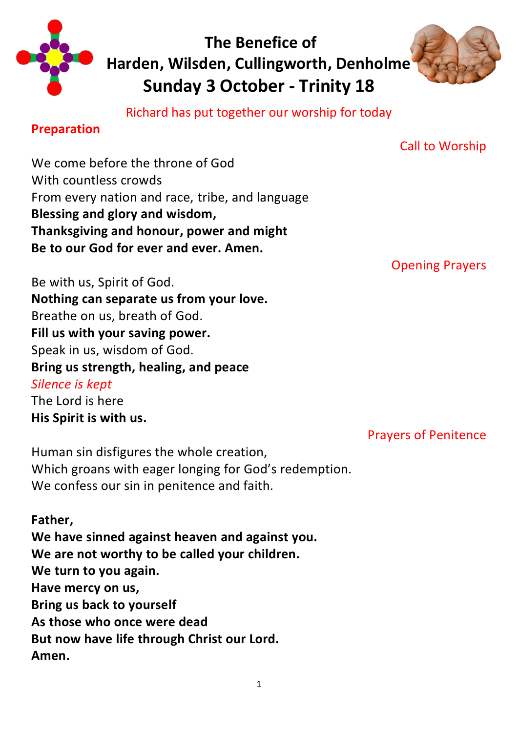

**The Benefice of Harden, Wilsden, Cullingworth, Denholme Sunday 3 October - Trinity 18**



Richard has put together our worship for today

#### **Preparation**

Call to Worship

We come before the throne of God With countless crowds From every nation and race, tribe, and language **Blessing and glory and wisdom, Thanksgiving and honour, power and might Be to our God for ever and ever. Amen.**

Opening Prayers

Be with us, Spirit of God. **Nothing can separate us from your love.** Breathe on us, breath of God. **Fill us with your saving power.** Speak in us, wisdom of God. **Bring us strength, healing, and peace** *Silence is kept* The Lord is here **His Spirit is with us.**

Prayers of Penitence

Human sin disfigures the whole creation, Which groans with eager longing for God's redemption. We confess our sin in penitence and faith.

**Father, We have sinned against heaven and against you. We are not worthy to be called your children. We turn to you again. Have mercy on us, Bring us back to yourself As those who once were dead But now have life through Christ our Lord. Amen.**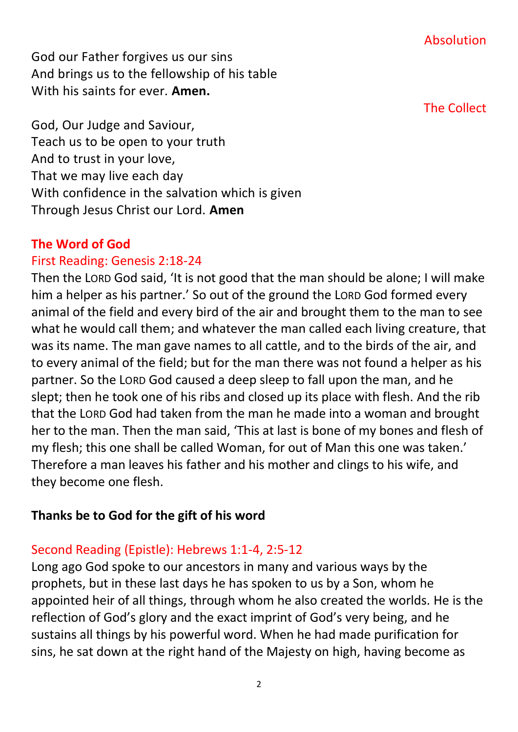God our Father forgives us our sins And brings us to the fellowship of his table With his saints for ever. **Amen.**

The Collect

God, Our Judge and Saviour, Teach us to be open to your truth And to trust in your love, That we may live each day With confidence in the salvation which is given Through Jesus Christ our Lord. **Amen**

## **The Word of God**

#### First Reading: Genesis 2:18-24

Then the LORD God said, 'It is not good that the man should be alone; I will make him a helper as his partner.' So out of the ground the LORD God formed every animal of the field and every bird of the air and brought them to the man to see what he would call them; and whatever the man called each living creature, that was its name. The man gave names to all cattle, and to the birds of the air, and to every animal of the field; but for the man there was not found a helper as his partner. So the LORD God caused a deep sleep to fall upon the man, and he slept; then he took one of his ribs and closed up its place with flesh. And the rib that the LORD God had taken from the man he made into a woman and brought her to the man. Then the man said, 'This at last is bone of my bones and flesh of my flesh; this one shall be called Woman, for out of Man this one was taken.' Therefore a man leaves his father and his mother and clings to his wife, and they become one flesh.

#### **Thanks be to God for the gift of his word**

## Second Reading (Epistle): Hebrews 1:1-4, 2:5-12

Long ago God spoke to our ancestors in many and various ways by the prophets, but in these last days he has spoken to us by a Son, whom he appointed heir of all things, through whom he also created the worlds. He is the reflection of God's glory and the exact imprint of God's very being, and he sustains all things by his powerful word. When he had made purification for sins, he sat down at the right hand of the Majesty on high, having become as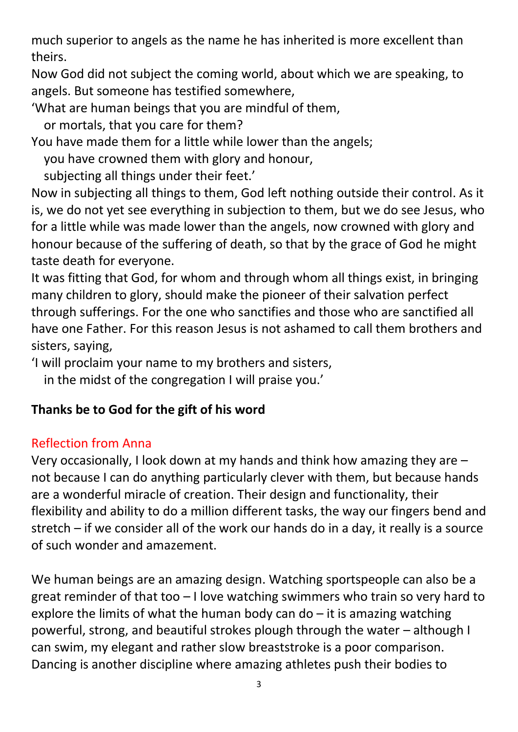much superior to angels as the name he has inherited is more excellent than theirs.

Now God did not subject the coming world, about which we are speaking, to angels. But someone has testified somewhere,

'What are human beings that you are mindful of them,

or mortals, that you care for them?

You have made them for a little while lower than the angels;

you have crowned them with glory and honour,

subjecting all things under their feet.'

Now in subjecting all things to them, God left nothing outside their control. As it is, we do not yet see everything in subjection to them, but we do see Jesus, who for a little while was made lower than the angels, now crowned with glory and honour because of the suffering of death, so that by the grace of God he might taste death for everyone.

It was fitting that God, for whom and through whom all things exist, in bringing many children to glory, should make the pioneer of their salvation perfect through sufferings. For the one who sanctifies and those who are sanctified all have one Father. For this reason Jesus is not ashamed to call them brothers and sisters, saying,

'I will proclaim your name to my brothers and sisters,

in the midst of the congregation I will praise you.'

## **Thanks be to God for the gift of his word**

## Reflection from Anna

Very occasionally, I look down at my hands and think how amazing they are – not because I can do anything particularly clever with them, but because hands are a wonderful miracle of creation. Their design and functionality, their flexibility and ability to do a million different tasks, the way our fingers bend and stretch – if we consider all of the work our hands do in a day, it really is a source of such wonder and amazement.

We human beings are an amazing design. Watching sportspeople can also be a great reminder of that too – I love watching swimmers who train so very hard to explore the limits of what the human body can  $do - it$  is amazing watching powerful, strong, and beautiful strokes plough through the water – although I can swim, my elegant and rather slow breaststroke is a poor comparison. Dancing is another discipline where amazing athletes push their bodies to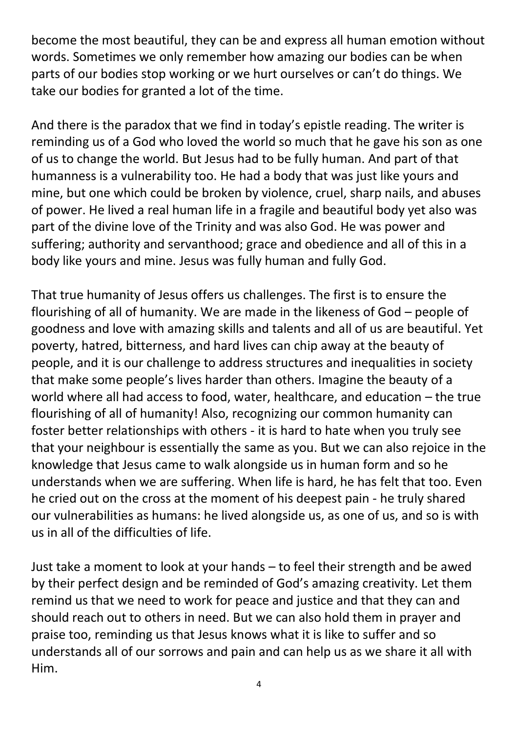become the most beautiful, they can be and express all human emotion without words. Sometimes we only remember how amazing our bodies can be when parts of our bodies stop working or we hurt ourselves or can't do things. We take our bodies for granted a lot of the time.

And there is the paradox that we find in today's epistle reading. The writer is reminding us of a God who loved the world so much that he gave his son as one of us to change the world. But Jesus had to be fully human. And part of that humanness is a vulnerability too. He had a body that was just like yours and mine, but one which could be broken by violence, cruel, sharp nails, and abuses of power. He lived a real human life in a fragile and beautiful body yet also was part of the divine love of the Trinity and was also God. He was power and suffering; authority and servanthood; grace and obedience and all of this in a body like yours and mine. Jesus was fully human and fully God.

That true humanity of Jesus offers us challenges. The first is to ensure the flourishing of all of humanity. We are made in the likeness of God – people of goodness and love with amazing skills and talents and all of us are beautiful. Yet poverty, hatred, bitterness, and hard lives can chip away at the beauty of people, and it is our challenge to address structures and inequalities in society that make some people's lives harder than others. Imagine the beauty of a world where all had access to food, water, healthcare, and education – the true flourishing of all of humanity! Also, recognizing our common humanity can foster better relationships with others - it is hard to hate when you truly see that your neighbour is essentially the same as you. But we can also rejoice in the knowledge that Jesus came to walk alongside us in human form and so he understands when we are suffering. When life is hard, he has felt that too. Even he cried out on the cross at the moment of his deepest pain - he truly shared our vulnerabilities as humans: he lived alongside us, as one of us, and so is with us in all of the difficulties of life.

Just take a moment to look at your hands – to feel their strength and be awed by their perfect design and be reminded of God's amazing creativity. Let them remind us that we need to work for peace and justice and that they can and should reach out to others in need. But we can also hold them in prayer and praise too, reminding us that Jesus knows what it is like to suffer and so understands all of our sorrows and pain and can help us as we share it all with Him.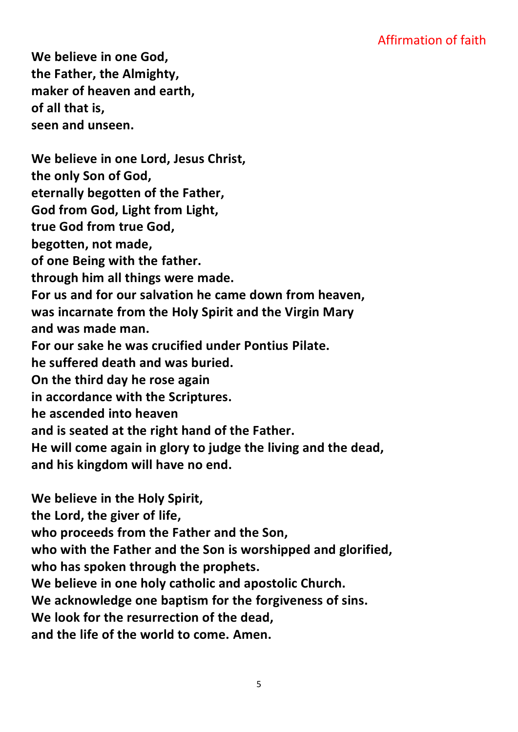## Affirmation of faith

**We believe in one God, the Father, the Almighty, maker of heaven and earth, of all that is, seen and unseen.**

**We believe in one Lord, Jesus Christ, the only Son of God, eternally begotten of the Father, God from God, Light from Light, true God from true God, begotten, not made, of one Being with the father. through him all things were made. For us and for our salvation he came down from heaven, was incarnate from the Holy Spirit and the Virgin Mary and was made man. For our sake he was crucified under Pontius Pilate. he suffered death and was buried. On the third day he rose again in accordance with the Scriptures. he ascended into heaven and is seated at the right hand of the Father. He will come again in glory to judge the living and the dead, and his kingdom will have no end.**

**We believe in the Holy Spirit, the Lord, the giver of life, who proceeds from the Father and the Son, who with the Father and the Son is worshipped and glorified, who has spoken through the prophets. We believe in one holy catholic and apostolic Church. We acknowledge one baptism for the forgiveness of sins. We look for the resurrection of the dead, and the life of the world to come. Amen.**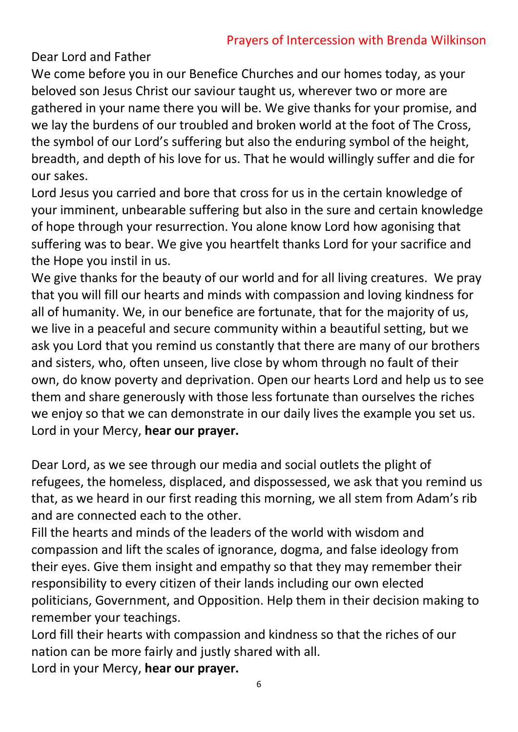Dear Lord and Father

We come before you in our Benefice Churches and our homes today, as your beloved son Jesus Christ our saviour taught us, wherever two or more are gathered in your name there you will be. We give thanks for your promise, and we lay the burdens of our troubled and broken world at the foot of The Cross, the symbol of our Lord's suffering but also the enduring symbol of the height, breadth, and depth of his love for us. That he would willingly suffer and die for our sakes.

Lord Jesus you carried and bore that cross for us in the certain knowledge of your imminent, unbearable suffering but also in the sure and certain knowledge of hope through your resurrection. You alone know Lord how agonising that suffering was to bear. We give you heartfelt thanks Lord for your sacrifice and the Hope you instil in us.

We give thanks for the beauty of our world and for all living creatures. We pray that you will fill our hearts and minds with compassion and loving kindness for all of humanity. We, in our benefice are fortunate, that for the majority of us, we live in a peaceful and secure community within a beautiful setting, but we ask you Lord that you remind us constantly that there are many of our brothers and sisters, who, often unseen, live close by whom through no fault of their own, do know poverty and deprivation. Open our hearts Lord and help us to see them and share generously with those less fortunate than ourselves the riches we enjoy so that we can demonstrate in our daily lives the example you set us. Lord in your Mercy, **hear our prayer.**

Dear Lord, as we see through our media and social outlets the plight of refugees, the homeless, displaced, and dispossessed, we ask that you remind us that, as we heard in our first reading this morning, we all stem from Adam's rib and are connected each to the other.

Fill the hearts and minds of the leaders of the world with wisdom and compassion and lift the scales of ignorance, dogma, and false ideology from their eyes. Give them insight and empathy so that they may remember their responsibility to every citizen of their lands including our own elected politicians, Government, and Opposition. Help them in their decision making to remember your teachings.

Lord fill their hearts with compassion and kindness so that the riches of our nation can be more fairly and justly shared with all.

Lord in your Mercy, **hear our prayer.**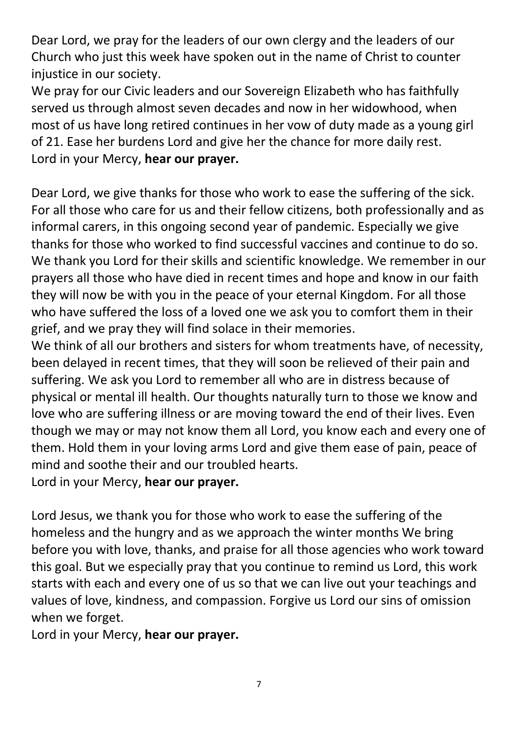Dear Lord, we pray for the leaders of our own clergy and the leaders of our Church who just this week have spoken out in the name of Christ to counter injustice in our society.

We pray for our Civic leaders and our Sovereign Elizabeth who has faithfully served us through almost seven decades and now in her widowhood, when most of us have long retired continues in her vow of duty made as a young girl of 21. Ease her burdens Lord and give her the chance for more daily rest. Lord in your Mercy, **hear our prayer.**

Dear Lord, we give thanks for those who work to ease the suffering of the sick. For all those who care for us and their fellow citizens, both professionally and as informal carers, in this ongoing second year of pandemic. Especially we give thanks for those who worked to find successful vaccines and continue to do so. We thank you Lord for their skills and scientific knowledge. We remember in our prayers all those who have died in recent times and hope and know in our faith they will now be with you in the peace of your eternal Kingdom. For all those who have suffered the loss of a loved one we ask you to comfort them in their grief, and we pray they will find solace in their memories.

We think of all our brothers and sisters for whom treatments have, of necessity, been delayed in recent times, that they will soon be relieved of their pain and suffering. We ask you Lord to remember all who are in distress because of physical or mental ill health. Our thoughts naturally turn to those we know and love who are suffering illness or are moving toward the end of their lives. Even though we may or may not know them all Lord, you know each and every one of them. Hold them in your loving arms Lord and give them ease of pain, peace of mind and soothe their and our troubled hearts.

Lord in your Mercy, **hear our prayer.**

Lord Jesus, we thank you for those who work to ease the suffering of the homeless and the hungry and as we approach the winter months We bring before you with love, thanks, and praise for all those agencies who work toward this goal. But we especially pray that you continue to remind us Lord, this work starts with each and every one of us so that we can live out your teachings and values of love, kindness, and compassion. Forgive us Lord our sins of omission when we forget.

Lord in your Mercy, **hear our prayer.**